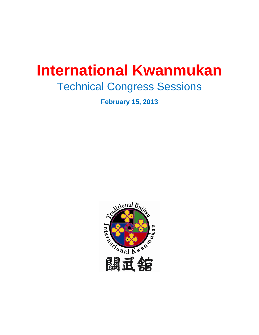# **International Kwanmukan**

# Technical Congress Sessions

**February 15, 2013** 

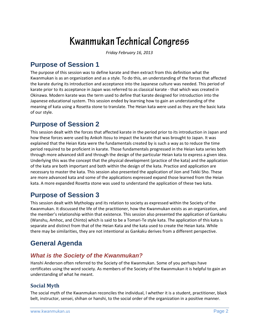# **Kwanmukan Technical Congress**

*Friday February 16, 2013*

# **Purpose of Session 1**

The purpose of this session was to define karate and then extract from this definition what the Kwanmukan is as an organization and as a style. To do this, an understanding of the forces that affected the karate during its introduction and acceptance into the Japanese culture was needed. This period of karate prior to its acceptance in Japan was referred to as classical karate ‐ that which was created in Okinawa. Modern karate was the term used to define that karate designed for introduction into the Japanese educational system. This session ended by learning how to gain an understanding of the meaning of kata using a Rosetta stone to translate. The Heian kata were used as they are the basic kata of our style.

# **Purpose of Session 2**

This session dealt with the forces that affected karate in the period prior to its introduction in Japan and how these forces were used by Ankoh Itosu to impact the karate that was brought to Japan. It was explained that the Heian Kata were the fundamentals created by is such a way as to reduce the time period required to be proficient in karate. Those fundamentals progressed in the Heian kata series both through more advanced skill and through the design of the particular Heian kata to express a given idea. Underlying this was the concept that the physical development (practice of the kata) and the application of the kata are both important and both within the design of the kata. Practice and application are necessary to master the kata. This session also presented the application of Jion and Tekki Sho. These are more advanced kata and some of the applications expressed expand those learned from the Heian kata. A more expanded Rosetta stone was used to understand the application of these two kata.

## **Purpose of Session 3**

This session dealt with Mythology and its relation to society as expressed within the Society of the Kwanmukan. It discussed the life of the practitioner, how the Kwanmukan exists as an organization, and the member's relationship within that existence. This session also presented the application of Gankaku (Wanshu, Amhoc, and Chinto) which is said to be a Tomari‐Te style kata. The application of this kata is separate and distinct from that of the Heian Kata and the kata used to create the Heian kata. While there may be similarities, they are not intentional as Gankaku derives from a different perspective.

# **General Agenda**

### *What is the Society of the Kwanmukan?*

Hanshi Anderson often referred to the Society of the Kwanmukan. Some of you perhaps have certificates using the word society. As members of the Society of the Kwanmukan it is helpful to gain an understanding of what he meant.

#### **Social Myth**

The social myth of the Kwanmukan reconciles the individual, l whether it is a student, practitioner, black belt, instructor, sensei, shihan or hanshi, to the social order of the organization in a positive manner.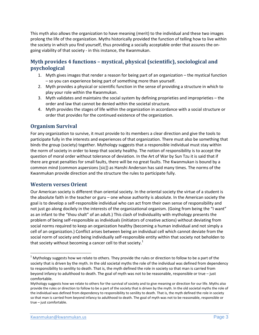This myth also allows the organization to have meaning (merit) to the individual and these two images prolong the life of the organization. Myths historically provided the function of telling how to live within the society in which you find yourself, thus providing a socially acceptable order that assures the on‐ going viability of that society ‐ in this instance, the Kwanmukan.

#### **Myth provides 4 functions – mystical, physical (scientific), sociological and psychological**

- 1. Myth gives images that render a reason for being part of an organization the mystical function – so you can experience being part of something more than yourself.
- 2. Myth provides a physical or scientific function in the sense of providing a structure in which to play your role within the Kwanmukan.
- 3. Myth validates and maintains the social system by defining proprieties and improprieties the order and law that cannot be denied within the societal structure.
- 4. Myth provides the stages of life within the organization in accordance with a social structure or order that provides for the continued existence of the organization.

#### **Organism Survival**

For any organization to survive, it must provide to its members a clear direction and give the tools to participate fully in the interests and experiences of that organization. There must also be something that binds the group (society) together. Mythology suggests that a responsible individual must stay within the norm of society in order to keep that society healthy. The notion of responsibility is to accept the question of moral order without tolerance of deviation. In the Art of War by Sun Tzu it is said that if there are great penalties for small faults, there will be no great faults. The Kwanmukan is bound by a common mind (common aspersions [sic]) as Hanshi Anderson has said many times. The norms of the Kwanmukan provide direction and the structure the rules to participate fully.

#### **Western verses Orient**

Our American society is different than oriental society. In the oriental society the virtue of a student is the absolute faith in the teacher or guru – one whose authority is absolute. In the American society the goal is to develop a self‐responsible individual who can act from their own sense of responsibility and not just go along docilely in the interests of the organizational organism. (Going from being the "I want" as an infant to the "thou shalt" of an adult.) This clash of Individuality with mythology presents the problem of being self‐responsible as individuals (initiators of creative actions) without deviating from social norms required to keep an organization healthy (becoming a human individual and not simply a cell of an organization.) Conflict arises between being an individual cell which cannot deviate from the social norm of society and being individually self-responsible entity within that society not beholden to that society without becoming a cancer cell to that society.<sup>1</sup>

 $1$  Mythology suggests how we relate to others. They provide the rules or direction to follow to be a part of the society that is driven by the myth. In the old societal myths the role of the individual was defined from dependency to responsibility to senility to death. That is, the myth defined the role in society so that man is carried from beyond infancy to adulthood to death. The goal of myth was not to be reasonable, responsible or true – just comfortable.

Mythology suggests how we relate to others for the survival of society and to give meaning or direction for our life. Myths also provide the rules or direction to follow to be a part of the society that is driven by the myth. In the old societal myths the role of the individual was defined from dependency to responsibility to senility to death. That is, the myth defined the role in society so that man is carried from beyond infancy to adulthood to death. The goal of myth was not to be reasonable, responsible or true – just comfortable.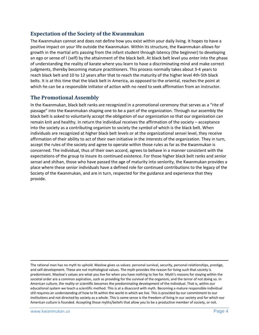#### **Expectation of the Society of the Kwanmukan**

The Kwanmukan cannot and does not define how you exist within your daily living. It hopes to have a positive impact on your life outside the Kwanmukan. Within its structure, the Kwanmukan allows for growth in the martial arts passing from the infant student through latency (the beginner) to developing an ego or sense of I (self) by the attainment of the black belt. At black belt level you enter into the phase of understanding the reality of karate where you learn to have a discriminating mind and make correct judgments, thereby becoming mature practitioners. This process normally takes about 3‐4 years to reach black belt and 10 to 12 years after that to reach the maturity of the higher level 4th‐5th black belts. It is at this time that the black belt in America, as opposed to the oriental, reaches the point at which he can be a responsible initiator of action with no need to seek affirmation from an instructor.

#### **The Promotional Assembly**

In the Kwanmukan, black belt ranks are recognized in a promotional ceremony that serves as a "rite of passage" into the Kwanmukan shaping one to be a part of the organization. Through our assembly the black belt is asked to voluntarily accept the obligation of our organization so that our organization can remain knit and healthy. In return the individual receives the affirmation of the society – acceptance into the society as a contributing organism to society the symbol of which is the black belt. When individuals are recognized at higher black belt levels or at the organizational sensei level, they receive affirmation of their ability to act of their own initiative in the interests of the organization. They in turn, accept the rules of the society and agree to operate within those rules as far as the Kwanmukan is concerned. The individual, thus of their own accord, agrees to behave in a manner consistent with the expectations of the group to insure its continued existence. For those higher black belt ranks and senior sensei and shihan, those who have passed the age of maturity into seniority, the Kwanmukan provides a place where these senior individuals have a defined role for continued contributions to the legacy of the Society of the Kwanmukan, and are in turn, respected for the guidance and experience that they provide.

The rational man has no myth to uphold. Maslow gives us values: personal survival, security, personal relationships, prestige, and self-development. These are not mythological values. The myth provides the reason for living such that society is predominant. Maslow's values are what you live for when you have nothing to live for. Myth's reasons for staying within the societal order are a common aspiration, such as providing for the survival of the organism, and the terror of not doing so. In American culture, the reality or scientific becomes the predominating development of the individual. That is, within our educational system we teach a scientific method. This is at a disaccord with myth. Becoming a mature responsible individual still requires an understanding of how to fit within the world in which we live. This is provided by our commitment to our institutions and not directed by society as a whole. This is some sense is the freedom of living in our society and for which our American culture is founded. Accepting those myths/beliefs that allow you to be a productive member of society, or not.

<u> Andrewski politika (za obrazu pod predsjednika u predsjednika u predsjednika u predsjednika (za obrazu pod p</u>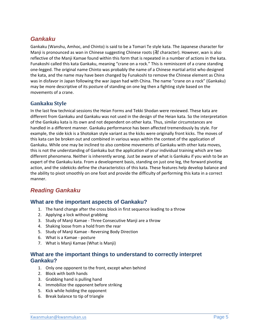#### *Gankaku*

Gankaku (Wanshu, Amhoc, and Chinto) is said to be a Tomari Te style kata. The Japanese character for Manji is pronounced as wan in Chinese suggesting Chinese roots (H character). However, wan is also reflective of the Manji Kamae found within this form that is repeated in a number of actions in the kata. Funakoshi called this kata Gankaku, meaning "crane on a rock." This is reminiscent of a crane standing one‐legged. The original name Chinto was probably the name of a Chinese martial artist who designed the kata, and the name may have been changed by Funakoshi to remove the Chinese element as China was in disfavor in Japan following the war Japan had with China. The name "crane on a rock" (Gankaku) may be more descriptive of its posture of standing on one leg then a fighting style based on the movements of a crane.

#### **Gankaku Style**

In the last few technical sessions the Heian Forms and Tekki Shodan were reviewed. These kata are different from Gankaku and Gankaku was not used in the design of the Heian kata. So the interpretation of the Gankaku kata is its own and not dependent on other kata. Thus, similar circumstances are handled in a different manner. Gankaku performance has been affected tremendously by style. For example, the side kick is a Shotokan style variant as the kicks were originally front kicks. The moves of this kata can be broken out and combined in various ways within the context of the application of Gankaku. While one may be inclined to also combine movements of Gankaku with other kata moves, this is not the understanding of Gankaku but the application of your individual training which are two different phenomena. Neither is inherently wrong. Just be aware of what is Gankaku if you wish to be an expert of the Gankaku kata. From a development basis, standing on just one leg, the forward pivoting action, and the sidekicks define the characteristics of this kata. These features help develop balance and the ability to pivot smoothly on one foot and provide the difficulty of performing this kata in a correct manner.

#### *Reading Gankaku*

#### **What are the important aspects of Gankaku?**

- 1. The hand change after the cross block in first sequence leading to a throw
- 2. Applying a lock without grabbing
- 3. Study of Manji Kamae ‐ Three Consecutive Manji are a throw
- 4. Shaking loose from a hold from the rear
- 5. Study of Manji Kamae ‐ Reversing Body Direction
- 6. What is a Kamae ‐ posture
- 7. What is Manji Kamae (What is Manji)

#### **What are the important things to understand to correctly interpret Gankaku?**

- 1. Only one opponent to the front, except when behind
- 2. Block with both hands
- 3. Grabbing hand is pulling hand
- 4. Immobilize the opponent before striking
- 5. Kick while holding the opponent
- 6. Break balance to tip of triangle